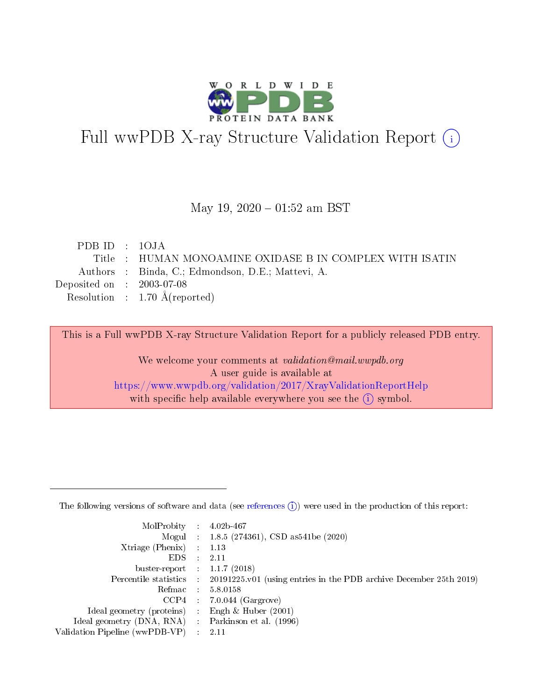

# Full wwPDB X-ray Structure Validation Report (i)

### May 19,  $2020 - 01:52$  am BST

| PDB ID : $10JA$             |                                                          |
|-----------------------------|----------------------------------------------------------|
|                             | Title : HUMAN MONOAMINE OXIDASE B IN COMPLEX WITH ISATIN |
|                             | Authors : Binda, C.; Edmondson, D.E.; Mattevi, A.        |
| Deposited on : $2003-07-08$ |                                                          |
|                             | Resolution : $1.70 \text{ Å}$ (reported)                 |
|                             |                                                          |

This is a Full wwPDB X-ray Structure Validation Report for a publicly released PDB entry.

We welcome your comments at validation@mail.wwpdb.org A user guide is available at <https://www.wwpdb.org/validation/2017/XrayValidationReportHelp> with specific help available everywhere you see the  $(i)$  symbol.

The following versions of software and data (see [references](https://www.wwpdb.org/validation/2017/XrayValidationReportHelp#references)  $(1)$ ) were used in the production of this report:

| MolProbity :                   |               | $4.02b - 467$                                                                |
|--------------------------------|---------------|------------------------------------------------------------------------------|
|                                |               | Mogul : 1.8.5 (274361), CSD as 541be (2020)                                  |
| $X$ triage (Phenix) :          |               | 1.13                                                                         |
| EDS.                           |               | 2.11                                                                         |
| buster-report : $1.1.7$ (2018) |               |                                                                              |
| Percentile statistics :        |               | $20191225 \text{ v}01$ (using entries in the PDB archive December 25th 2019) |
| Refmac :                       |               | 5.8.0158                                                                     |
| $CCP4$ :                       |               | $7.0.044$ (Gargrove)                                                         |
| Ideal geometry (proteins) :    |               | Engh $\&$ Huber (2001)                                                       |
| Ideal geometry (DNA, RNA) :    |               | Parkinson et al. (1996)                                                      |
| Validation Pipeline (wwPDB-VP) | $\mathcal{L}$ | 2.11                                                                         |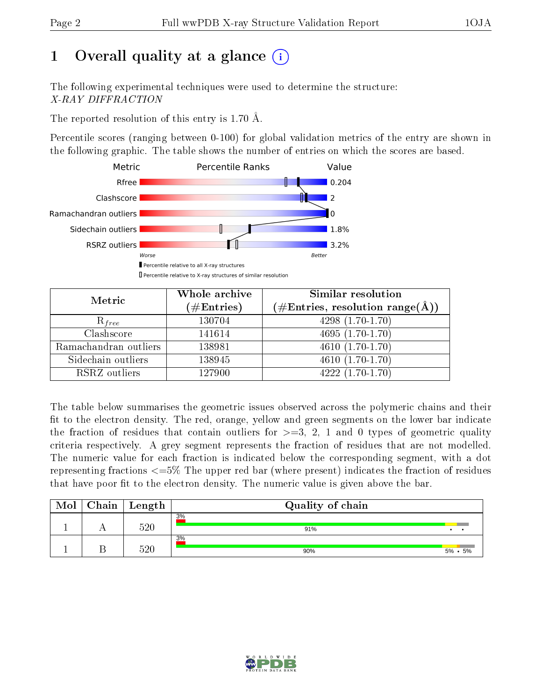# 1 [O](https://www.wwpdb.org/validation/2017/XrayValidationReportHelp#overall_quality)verall quality at a glance  $(i)$

The following experimental techniques were used to determine the structure: X-RAY DIFFRACTION

The reported resolution of this entry is 1.70 Å.

Percentile scores (ranging between 0-100) for global validation metrics of the entry are shown in the following graphic. The table shows the number of entries on which the scores are based.



| Metric                | Whole archive<br>$(\#\text{Entries})$ | Similar resolution<br>$(\#\text{Entries},\,\text{resolution}\,\,\text{range}(\textup{\AA}))$ |
|-----------------------|---------------------------------------|----------------------------------------------------------------------------------------------|
| $R_{free}$            | 130704                                | $4298(1.70-1.70)$                                                                            |
| Clashscore            | 141614                                | $4695(1.70-1.70)$                                                                            |
| Ramachandran outliers | 138981                                | $\overline{4610}(1.70-1.70)$                                                                 |
| Sidechain outliers    | 138945                                | $4610(1.70-1.70)$                                                                            |
| RSRZ outliers         | 127900                                | $4222(1.70-1.70)$                                                                            |

The table below summarises the geometric issues observed across the polymeric chains and their fit to the electron density. The red, orange, yellow and green segments on the lower bar indicate the fraction of residues that contain outliers for  $>=3, 2, 1$  and 0 types of geometric quality criteria respectively. A grey segment represents the fraction of residues that are not modelled. The numeric value for each fraction is indicated below the corresponding segment, with a dot representing fractions  $\epsilon=5\%$  The upper red bar (where present) indicates the fraction of residues that have poor fit to the electron density. The numeric value is given above the bar.

| Mol | Chain | $\vert$ Length | Quality of chain |                 |
|-----|-------|----------------|------------------|-----------------|
|     |       | 520            | 3%<br>91%        |                 |
|     |       | $520\,$        | 3%<br>90%        | $5\% \cdot 5\%$ |

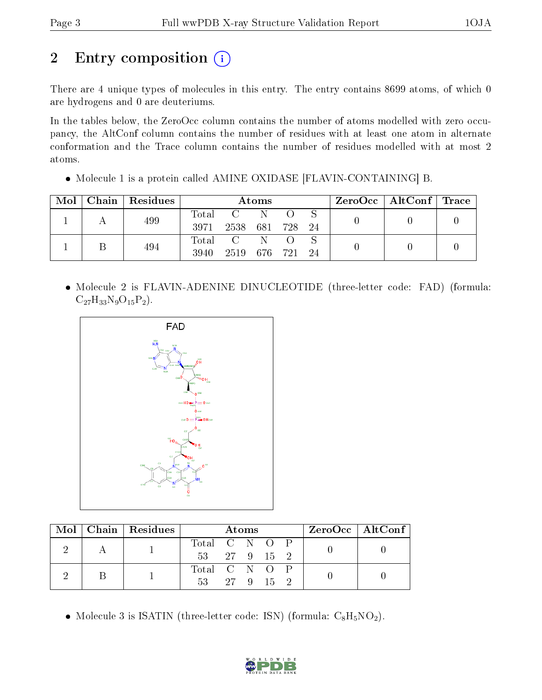# 2 Entry composition (i)

There are 4 unique types of molecules in this entry. The entry contains 8699 atoms, of which 0 are hydrogens and 0 are deuteriums.

In the tables below, the ZeroOcc column contains the number of atoms modelled with zero occupancy, the AltConf column contains the number of residues with at least one atom in alternate conformation and the Trace column contains the number of residues modelled with at most 2 atoms.

Molecule 1 is a protein called AMINE OXIDASE [FLAVIN-CONTAINING] B.

| Mol | Chain   Residues | Atoms |                 |   |  | $\rm{ZeroOcc}$   AltConf   Trace |  |  |
|-----|------------------|-------|-----------------|---|--|----------------------------------|--|--|
|     | 499              | Total | C N             |   |  |                                  |  |  |
|     |                  | 3971  | 2538 681 728 24 |   |  |                                  |  |  |
|     | 494              | Total | $\sim$ C $\sim$ | N |  |                                  |  |  |
|     |                  | 3940  | 2519 676 721 24 |   |  |                                  |  |  |

• Molecule 2 is FLAVIN-ADENINE DINUCLEOTIDE (three-letter code: FAD) (formula:  $C_{27}H_{33}N_9O_{15}P_2$ .



|  | Mol   Chain   Residues | Atoms         |  |  |  | $ZeroOcc \mid AltConf \mid$ |  |  |
|--|------------------------|---------------|--|--|--|-----------------------------|--|--|
|  |                        | Total C N O P |  |  |  |                             |  |  |
|  |                        | 53 27 9 15 2  |  |  |  |                             |  |  |
|  |                        | Total C N O P |  |  |  |                             |  |  |
|  |                        | 53 27 9 15 2  |  |  |  |                             |  |  |

• Molecule 3 is ISATIN (three-letter code: ISN) (formula:  $C_8H_5NO_2$ ).

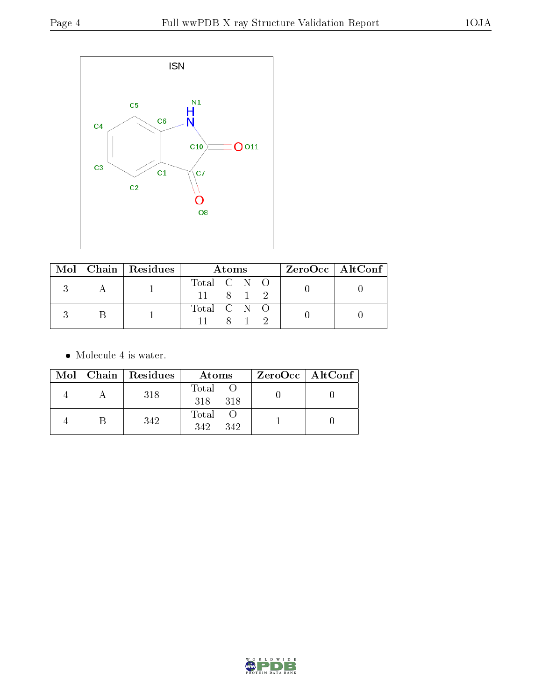

|  | $\text{Mol}$   Chain   Residues | Atoms                                    |  |       |  | $ZeroOcc \   \$ AltConf |
|--|---------------------------------|------------------------------------------|--|-------|--|-------------------------|
|  |                                 | Total $C \tN \tO$<br>$11 \t 8 \t 1 \t 2$ |  |       |  |                         |
|  |                                 | Total C N O                              |  | 8 1 2 |  |                         |

• Molecule 4 is water.

|  | Mol   Chain   Residues | Atoms               | $ZeroOcc \mid AltConf \mid$ |
|--|------------------------|---------------------|-----------------------------|
|  | 318                    | Total<br>318 318    |                             |
|  | 342                    | Total<br>342<br>342 |                             |

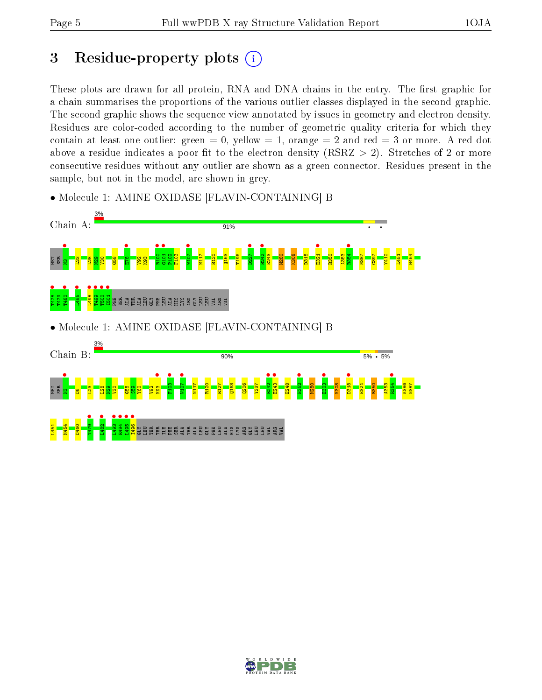# 3 Residue-property plots  $(i)$

These plots are drawn for all protein, RNA and DNA chains in the entry. The first graphic for a chain summarises the proportions of the various outlier classes displayed in the second graphic. The second graphic shows the sequence view annotated by issues in geometry and electron density. Residues are color-coded according to the number of geometric quality criteria for which they contain at least one outlier: green  $= 0$ , yellow  $= 1$ , orange  $= 2$  and red  $= 3$  or more. A red dot above a residue indicates a poor fit to the electron density (RSRZ  $> 2$ ). Stretches of 2 or more consecutive residues without any outlier are shown as a green connector. Residues present in the sample, but not in the model, are shown in grey.



• Molecule 1: AMINE OXIDASE [FLAVIN-CONTAINING] B

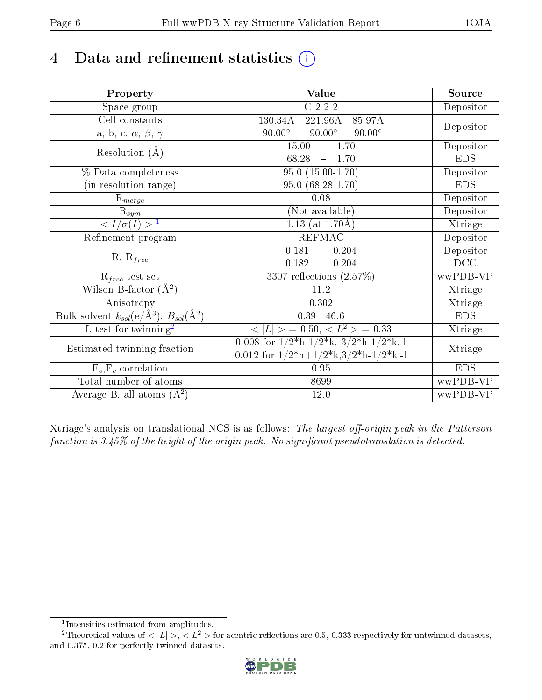# 4 Data and refinement statistics  $(i)$

| Property                                                             | <b>Value</b>                                                                          | Source     |
|----------------------------------------------------------------------|---------------------------------------------------------------------------------------|------------|
| Space group                                                          | C 2 2 2                                                                               | Depositor  |
| Cell constants                                                       | 130.34Å<br>$221.96\text{\AA}$<br>85.97Å                                               |            |
| a, b, c, $\alpha$ , $\beta$ , $\gamma$                               | $90.00^\circ$<br>$90.00^\circ$<br>$90.00^\circ$                                       | Depositor  |
| Resolution $(\AA)$                                                   | 15.00<br>$-1.70$                                                                      | Depositor  |
|                                                                      | 68.28<br>$-1.70$                                                                      | <b>EDS</b> |
| % Data completeness                                                  | $95.0(15.00-1.70)$                                                                    | Depositor  |
| (in resolution range)                                                | $95.0(68.28-1.70)$                                                                    | <b>EDS</b> |
| $R_{merge}$                                                          | 0.08                                                                                  | Depositor  |
| $\mathrm{R}_{sym}$                                                   | (Not available)                                                                       | Depositor  |
| $\frac{1}{\sqrt{I/\sigma(I)}} > 1$                                   | 1.13 (at $1.70\text{\AA})$                                                            | Xtriage    |
| Refinement program                                                   | <b>REFMAC</b>                                                                         | Depositor  |
|                                                                      | 0.181, 0.204                                                                          | Depositor  |
| $R, R_{free}$                                                        | 0.182<br>0.204<br>$\mathbb{R}^2$                                                      | DCC        |
| $R_{free}$ test set                                                  | 3307 reflections $(2.57\%)$                                                           | wwPDB-VP   |
| Wilson B-factor $(A^2)$                                              | 11.2                                                                                  | Xtriage    |
| Anisotropy                                                           | 0.302                                                                                 | Xtriage    |
| Bulk solvent $k_{sol}(e/\mathring{A}^3)$ , $B_{sol}(\mathring{A}^2)$ | $0.39$ , 46.6                                                                         | <b>EDS</b> |
| L-test for twinning <sup>2</sup>                                     | $< L >$ = 0.50, $< L2$ = 0.33                                                         | Xtriage    |
| Estimated twinning fraction                                          | 0.008 for $1/2^{\ast}h$ -1/2 <sup>*</sup> k,-3/2 <sup>*</sup> h-1/2 <sup>*</sup> k,-1 | Xtriage    |
|                                                                      | 0.012 for $1/2^*h+1/2^*k$ , $3/2^*h-1/2^*k$ , -1                                      |            |
| $F_o, F_c$ correlation                                               | 0.95                                                                                  | <b>EDS</b> |
| Total number of atoms                                                | 8699                                                                                  | wwPDB-VP   |
| Average B, all atoms $(A^2)$                                         | 12.0                                                                                  | wwPDB-VP   |

Xtriage's analysis on translational NCS is as follows: The largest off-origin peak in the Patterson function is  $3.45\%$  of the height of the origin peak. No significant pseudotranslation is detected.

<sup>&</sup>lt;sup>2</sup>Theoretical values of  $\langle |L| \rangle$ ,  $\langle L^2 \rangle$  for acentric reflections are 0.5, 0.333 respectively for untwinned datasets, and 0.375, 0.2 for perfectly twinned datasets.



<span id="page-5-1"></span><span id="page-5-0"></span><sup>1</sup> Intensities estimated from amplitudes.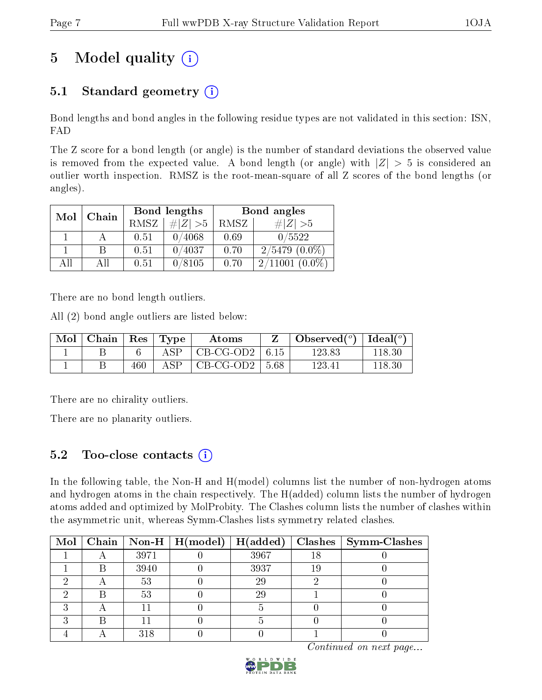# 5 Model quality  $(i)$

## 5.1 Standard geometry  $(i)$

Bond lengths and bond angles in the following residue types are not validated in this section: ISN, FAD

The Z score for a bond length (or angle) is the number of standard deviations the observed value is removed from the expected value. A bond length (or angle) with  $|Z| > 5$  is considered an outlier worth inspection. RMSZ is the root-mean-square of all Z scores of the bond lengths (or angles).

| Mol | Chain |      | <b>Bond lengths</b> | Bond angles |                      |  |
|-----|-------|------|---------------------|-------------|----------------------|--|
|     |       | RMSZ | # $ Z >5$           | RMSZ        | $\# Z  > 5$          |  |
|     |       | 0.51 | 0/4068              | 0.69        | 0/5522               |  |
|     | R     | 0.51 | 0/4037              | 0.70        | $2/5479(0.0\%)$      |  |
| AH  | ΑH    | 0.51 | 0/8105              | 0.70        | $(0.0\%)$<br>2/11001 |  |

There are no bond length outliers.

All (2) bond angle outliers are listed below:

| $\bf{Mol}$ | Chain   Res   Type |     |             | Atoms            |         | Observed( $^{\circ}$ )   Ideal( $^{\circ}$ ) |        |
|------------|--------------------|-----|-------------|------------------|---------|----------------------------------------------|--------|
|            |                    |     | ${\rm ASP}$ | CB-CG-OD2   6.15 |         | 123.83                                       | 118.30 |
|            |                    | 460 | ${\rm ASP}$ | CB-CG-OD2        | $-5.68$ | 123.41                                       | 118.36 |

There are no chirality outliers.

There are no planarity outliers.

## 5.2 Too-close contacts  $\overline{a}$

In the following table, the Non-H and H(model) columns list the number of non-hydrogen atoms and hydrogen atoms in the chain respectively. The H(added) column lists the number of hydrogen atoms added and optimized by MolProbity. The Clashes column lists the number of clashes within the asymmetric unit, whereas Symm-Clashes lists symmetry related clashes.

|  |      | Mol   Chain   Non-H   H(model)   H(added) |      |    | $Clashes$   Symm-Clashes |
|--|------|-------------------------------------------|------|----|--------------------------|
|  | 3971 |                                           | 3967 | 18 |                          |
|  | 3940 |                                           | 3937 | 19 |                          |
|  | 53   |                                           | 29   |    |                          |
|  | 53   |                                           | 29   |    |                          |
|  |      |                                           |      |    |                          |
|  |      |                                           |      |    |                          |
|  | 318  |                                           |      |    |                          |

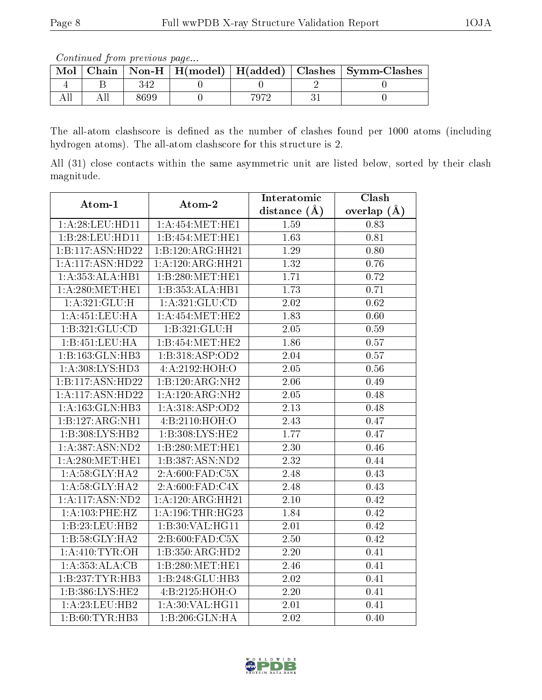Continued from previous page...

| Mol |      |      | Chain   Non-H   H(model)   H(added)   Clashes   Symm-Clashes |
|-----|------|------|--------------------------------------------------------------|
|     |      |      |                                                              |
|     | 3699 | 7079 |                                                              |

The all-atom clashscore is defined as the number of clashes found per 1000 atoms (including hydrogen atoms). The all-atom clashscore for this structure is 2.

All (31) close contacts within the same asymmetric unit are listed below, sorted by their clash magnitude.

| Atom-1              | Atom-2             | Interatomic       | Clash         |  |
|---------------------|--------------------|-------------------|---------------|--|
|                     |                    | distance $(A)$    | overlap $(A)$ |  |
| 1:A:28:LEU:HDI1     | 1: A:454:MET:HE1   | 1.59              | 0.83          |  |
| 1:B:28:LEU:HD11     | 1:B:454:MET:HE1    | 1.63              | 0.81          |  |
| 1:B:117:ASN:HD22    | 1:B:120:ARG:HH21   | 1.29              | 0.80          |  |
| 1:A:117:ASN:HD22    | 1:A:120:ARG:HH21   | 1.32              | 0.76          |  |
| 1:A:353:ALA:HB1     | 1:B:280:MET:HE1    | 1.71              | 0.72          |  |
| 1: A:280:MET:HE1    | 1:B:353:ALA:HB1    | 1.73              | 0.71          |  |
| 1:A:321:GLU:H       | 1:A:321:GLU:CD     | 2.02              | 0.62          |  |
| 1: A: 451: LEU: HA  | 1:A:454:MET:HE2    | 1.83              | 0.60          |  |
| 1:B:321:GLU:CD      | 1:B:321:GLU:H      | 2.05              | 0.59          |  |
| 1:B:451:LEU:HA      | 1:B:454:MET:HE2    | 1.86              | 0.57          |  |
| 1:B:163:GLN:HB3     | 1:B:318:ASP:OD2    | 2.04              | 0.57          |  |
| 1:A:308:LYS:HD3     | 4:A:2192:HOH:O     | 2.05              | 0.56          |  |
| 1:B:117:ASN:HD22    | 1:B:120:ARG:NH2    | 2.06              | 0.49          |  |
| 1:A:117:ASN:HD22    | 1:A:120:ARG:NH2    | 2.05              | 0.48          |  |
| 1: A: 163: GLN: HB3 | 1:A:318:ASP:OD2    | 2.13              | 0.48          |  |
| 1:B:127:ARG:NH1     | 4:B:2110:HOH:O     | 2.43              | 0.47          |  |
| 1:B:308:LYS:HB2     | 1:B:308:LYS:HE2    | 1.77              | 0.47          |  |
| 1:A:387:ASN:ND2     | 1:B:280:MET:HE1    | 2.30              | 0.46          |  |
| 1: A:280:MET:HE1    | 1:B:387:ASN:ND2    | 2.32              | 0.44          |  |
| 1: A:58:GLY:HA2     | 2:A:600:FAD:C5X    | $\overline{2.48}$ | 0.43          |  |
| 1: A:58: GLY:HA2    | 2:A:600:FAD:C4X    | 2.48              | 0.43          |  |
| $1:$ A:117:ASN:ND2  | 1:A:120:ARG:HH21   | 2.10              | 0.42          |  |
| 1:A:103:PHE:HZ      | 1: A:196:THR:HG23  | 1.84              | 0.42          |  |
| 1:B:23:LEU:HB2      | 1:B:30:VAL:HG11    | 2.01              | 0.42          |  |
| 1:B:58:GLY:HA2      | 2: B:600: FAD: C5X | 2.50              | 0.42          |  |
| 1: A:410: TYR: OH   | 1:B:350:ARG:HD2    | 2.20              | 0.41          |  |
| 1:A:353:ALA:CB      | 1:B:280:MET:HE1    | 2.46              | 0.41          |  |
| 1:B:237:TYR:HB3     | 1:B:248:GLU:HB3    | 2.02              | 0.41          |  |
| 1:B:386:LYS:HE2     | 4:B:2125:HOH:O     | 2.20              | 0.41          |  |
| 1:A:23:LEU:HB2      | 1: A:30: VAL:HGI1  | 2.01              | 0.41          |  |
| 1:B:60:TYR:HB3      | 1:B:206:GLN:HA     | 2.02              | 0.40          |  |

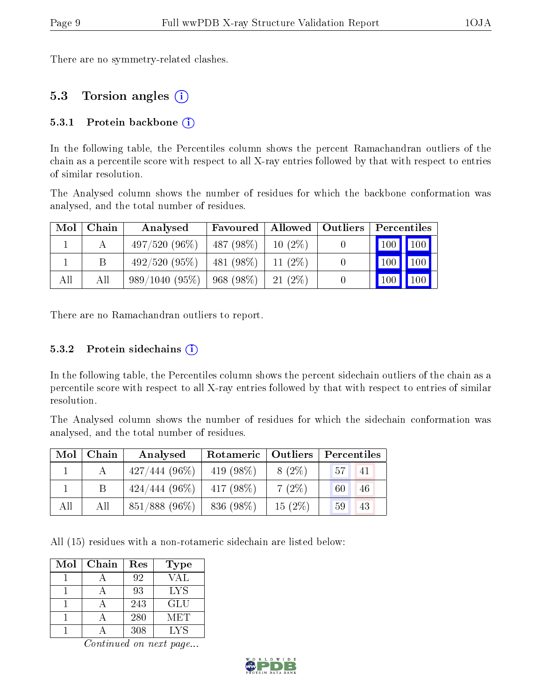There are no symmetry-related clashes.

### 5.3 Torsion angles (i)

#### 5.3.1 Protein backbone  $(i)$

In the following table, the Percentiles column shows the percent Ramachandran outliers of the chain as a percentile score with respect to all X-ray entries followed by that with respect to entries of similar resolution.

The Analysed column shows the number of residues for which the backbone conformation was analysed, and the total number of residues.

| Mol | Chain | Analysed                           | <b>Favoured</b>   Allowed   Outliers |           | Percentiles                     |  |
|-----|-------|------------------------------------|--------------------------------------|-----------|---------------------------------|--|
|     |       | $497/520(96\%)$                    | $487 (98\%)$   10 (2\%)              |           |                                 |  |
|     |       | 492/520(95%)                       | 481 (98%)   11 (2%)                  |           | $\vert$ 100 $\vert$ 100 $\vert$ |  |
| All | All   | $989/1040$ $(95\%)$   968 $(98\%)$ |                                      | $21(2\%)$ | $\vert$ 100   100               |  |

There are no Ramachandran outliers to report.

#### 5.3.2 Protein sidechains  $(i)$

In the following table, the Percentiles column shows the percent sidechain outliers of the chain as a percentile score with respect to all X-ray entries followed by that with respect to entries of similar resolution.

The Analysed column shows the number of residues for which the sidechain conformation was analysed, and the total number of residues.

| Mol | Chain | Analysed        | Rotameric  <br>Outliers |           | Percentiles           |  |  |
|-----|-------|-----------------|-------------------------|-----------|-----------------------|--|--|
|     |       | $427/444(96\%)$ | 419 $(98\%)$            | $8(2\%)$  | 57 <sup>1</sup><br>41 |  |  |
|     | B     | $424/444(96\%)$ | $417(98\%)$             | $7(2\%)$  | 46<br>60              |  |  |
| All | All   | 851/888 (96%)   | 836 (98%)               | $15(2\%)$ | 43<br>59              |  |  |

All (15) residues with a non-rotameric sidechain are listed below:

| Mol | Chain | Res | Type |
|-----|-------|-----|------|
|     |       | 92  | VAL  |
|     |       | 93  | LYS  |
|     |       | 243 | GLU  |
|     |       | 280 | MET  |
|     |       | 308 | LYS  |

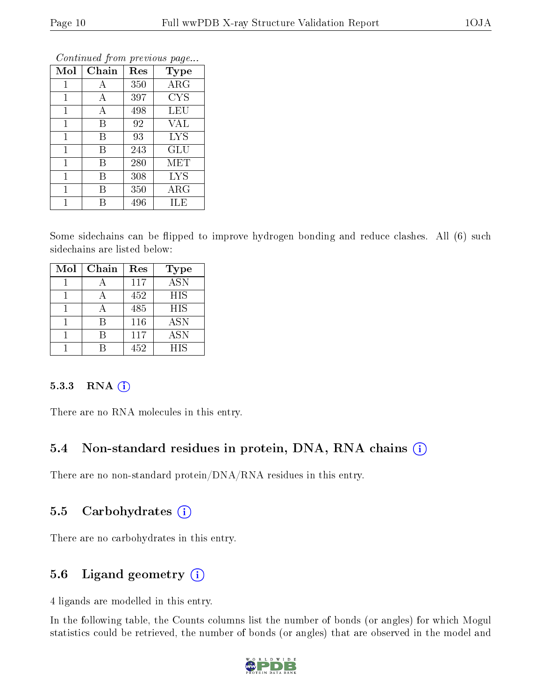| Mol          | Chain | Res | Type       |
|--------------|-------|-----|------------|
| $\mathbf{1}$ | А     | 350 | ARG        |
| 1            | А     | 397 | <b>CYS</b> |
| 1            | А     | 498 | LEU        |
| $\mathbf{1}$ | B     | 92  | <b>VAL</b> |
| 1            | В     | 93  | <b>LYS</b> |
| $\mathbf{1}$ | Β     | 243 | GLU        |
| 1            | В     | 280 | MET        |
| 1            | В     | 308 | <b>LYS</b> |
| 1            | В     | 350 | $\rm{ARG}$ |
| 1            | R     | 496 | ILE        |

Some sidechains can be flipped to improve hydrogen bonding and reduce clashes. All (6) such sidechains are listed below:

| Mol | Chain | Res | <b>Type</b> |
|-----|-------|-----|-------------|
|     |       | 117 | <b>ASN</b>  |
|     |       | 452 | <b>HIS</b>  |
|     |       | 485 | <b>HIS</b>  |
|     | R     | 116 | <b>ASN</b>  |
|     |       | 117 | <b>ASN</b>  |
|     |       | 452 | HIS         |

#### $5.3.3$  RNA  $(i)$

There are no RNA molecules in this entry.

### 5.4 Non-standard residues in protein, DNA, RNA chains (i)

There are no non-standard protein/DNA/RNA residues in this entry.

### 5.5 Carbohydrates  $(i)$

There are no carbohydrates in this entry.

### 5.6 Ligand geometry (i)

4 ligands are modelled in this entry.

In the following table, the Counts columns list the number of bonds (or angles) for which Mogul statistics could be retrieved, the number of bonds (or angles) that are observed in the model and

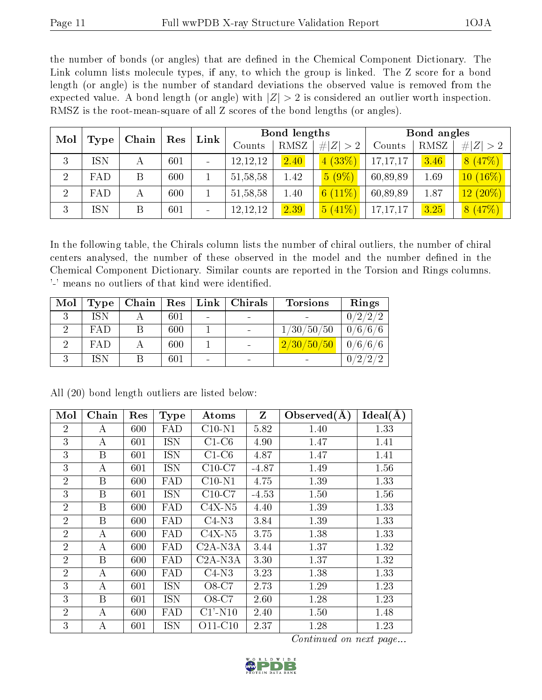the number of bonds (or angles) that are defined in the Chemical Component Dictionary. The Link column lists molecule types, if any, to which the group is linked. The Z score for a bond length (or angle) is the number of standard deviations the observed value is removed from the expected value. A bond length (or angle) with  $|Z| > 2$  is considered an outlier worth inspection. RMSZ is the root-mean-square of all Z scores of the bond lengths (or angles).

| Mol            | Type       | Chain | Res | Link                     | Bond lengths |      |                            | Bond angles |      |             |
|----------------|------------|-------|-----|--------------------------|--------------|------|----------------------------|-------------|------|-------------|
|                |            |       |     |                          | Counts       | RMSZ | # $ Z  > 2$                | Counts      | RMSZ | # $ Z  > 2$ |
| 3              | ISN        | А     | 601 | $\overline{\phantom{a}}$ | 12, 12, 12   | 2.40 | (33%)<br>$\overline{4}$    | 17,17,17    | 3.46 | 8(47%)      |
| $\overline{2}$ | FAD        | B     | 600 |                          | 51, 58, 58   | 1.42 | $5(9\%)$                   | 60,89,89    | 1.69 | $10(16\%)$  |
| $\overline{2}$ | FAD        | А     | 600 |                          | 51, 58, 58   | 1.40 | $(11\%)$<br>6 <sup>1</sup> | 60,89,89    | 1.87 | $12(20\%)$  |
| 3              | <b>ISN</b> | B     | 601 | $\sim$                   | 12, 12, 12   | 2.39 | 5(41%)                     | 17,17,17    | 3.25 | 8(47%)      |

In the following table, the Chirals column lists the number of chiral outliers, the number of chiral centers analysed, the number of these observed in the model and the number defined in the Chemical Component Dictionary. Similar counts are reported in the Torsion and Rings columns. '-' means no outliers of that kind were identified.

| Mol | Type       | Chain | Res     | Link   Chirals | <b>Torsions</b> | Rings    |
|-----|------------|-------|---------|----------------|-----------------|----------|
|     | ISN        |       | 601     |                |                 | 0/2/2/2  |
|     | FAD        |       | 600     |                | 1/30/50/50      | 0/6/6/6  |
|     | <b>FAD</b> |       | 600     |                | 2/30/50/50      | 0/6/6/6  |
|     | ISN        |       | $601\,$ |                |                 | ົດ<br>ົດ |

| Mol            | Chain            | Res | <b>Type</b> | Atoms      | $\mathbf{Z}$ | Observed $(A)$ | Ideal(A) |
|----------------|------------------|-----|-------------|------------|--------------|----------------|----------|
| 2              | А                | 600 | FAD         | $C10-N1$   | 5.82         | 1.40           | 1.33     |
| 3              | А                | 601 | <b>ISN</b>  | $C1-C6$    | 4.90         | 1.47           | 1.41     |
| 3              | $\boldsymbol{B}$ | 601 | <b>ISN</b>  | $C1-C6$    | 4.87         | 1.47           | 1.41     |
| 3              | А                | 601 | <b>ISN</b>  | $C10-C7$   | $-4.87$      | 1.49           | 1.56     |
| $\overline{2}$ | $\boldsymbol{B}$ | 600 | FAD         | $C10-N1$   | 4.75         | 1.39           | 1.33     |
| 3              | B                | 601 | <b>ISN</b>  | $C10-C7$   | $-4.53$      | 1.50           | 1.56     |
| $\overline{2}$ | B                | 600 | FAD         | $C4X-N5$   | 4.40         | 1.39           | 1.33     |
| $\overline{2}$ | $\boldsymbol{B}$ | 600 | FAD         | $C4-N3$    | 3.84         | 1.39           | 1.33     |
| $\overline{2}$ | A                | 600 | FAD         | $C4X-N5$   | 3.75         | 1.38           | 1.33     |
| $\overline{2}$ | А                | 600 | FAD         | $C2A-NSA$  | 3.44         | 1.37           | 1.32     |
| $\overline{2}$ | B                | 600 | FAD         | $C2A-NSA$  | 3.30         | 1.37           | 1.32     |
| $\overline{2}$ | А                | 600 | FAD         | $C4-N3$    | 3.23         | 1.38           | 1.33     |
| 3              | А                | 601 | <b>ISN</b>  | O8-C7      | 2.73         | 1.29           | 1.23     |
| 3              | B                | 601 | <b>ISN</b>  | O8-C7      | 2.60         | 1.28           | 1.23     |
| $\overline{2}$ | А                | 600 | FAD         | $C1'$ -N10 | 2.40         | 1.50           | 1.48     |
| 3              | А                | 601 | <b>ISN</b>  | $O11-C10$  | 2.37         | 1.28           | 1.23     |

All (20) bond length outliers are listed below:

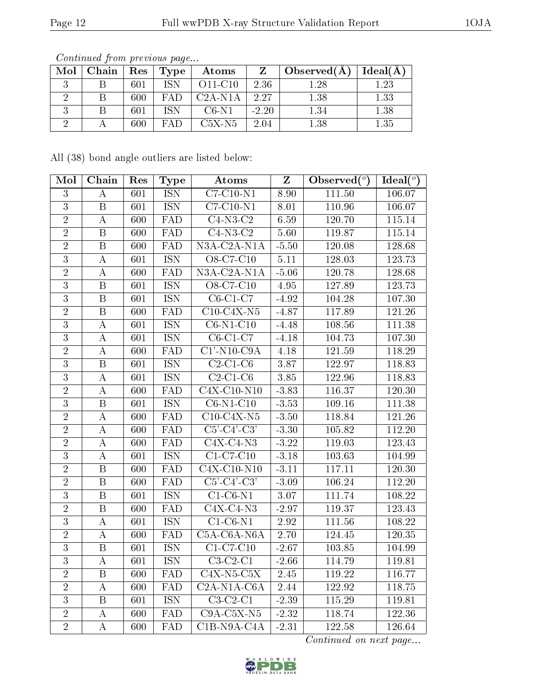| Mol | Chain | Res | <b>Type</b> | Atoms     |         | Observed(A) | Ideal(A |
|-----|-------|-----|-------------|-----------|---------|-------------|---------|
|     |       | 601 | ISN         | $O11-C10$ | 2.36    | l .28       | 1.23    |
|     |       | 600 | FA D        | $C2A-N1A$ | 2.27    | 1.38        | 1.33    |
|     |       | 601 | ISN         | $C6-N1$   | $-2.20$ | $1.34\,$    | 1.38    |
|     |       | 600 | FAD         | $C5X-N5$  | 2.04    | 1.38        | 1.35    |

All (38) bond angle outliers are listed below:

| Mol            | Chain                   | Res              | <b>Type</b>             | Atoms                         | $\overline{\mathbf{Z}}$ | Observed $\overline{({}^{\circ})}$ | $\text{Ideal}({}^o)$ |
|----------------|-------------------------|------------------|-------------------------|-------------------------------|-------------------------|------------------------------------|----------------------|
| $\mathbf{3}$   | $\boldsymbol{A}$        | 601              | <b>ISN</b>              | $C7-C10-N1$                   | 8.90                    | 111.50                             | 106.07               |
| $\overline{3}$ | $\, {\bf B}$            | 601              | <b>ISN</b>              | $C7-C10-N1$                   | 8.01                    | 110.96                             | 106.07               |
| $\overline{2}$ | $\boldsymbol{A}$        | 600              | $\overline{\text{FAD}}$ | $\overline{C4-N3-C2}$         | 6.59                    | 120.70                             | 115.14               |
| $\overline{2}$ | $\, {\bf B}$            | 600              | FAD                     | $\overline{C4-N3-C2}$         | 5.60                    | 119.87                             | 115.14               |
| $\overline{2}$ | $\overline{B}$          | 600              | <b>FAD</b>              | $N3A-C2A-N1A$                 | $-5.50$                 | 120.08                             | 128.68               |
| $\overline{3}$ | $\boldsymbol{A}$        | 601              | <b>ISN</b>              | O8-C7-C10                     | 5.11                    | 128.03                             | 123.73               |
| $\overline{2}$ | A                       | 600              | FAD                     | $N3A-C2A-N1A$                 | $-5.06$                 | 120.78                             | 128.68               |
| $\overline{3}$ | $\, {\bf B}$            | 601              | <b>ISN</b>              | O8-C7-C10                     | 4.95                    | 127.89                             | 123.73               |
| $\overline{3}$ | $\overline{\mathrm{B}}$ | 601              | <b>ISN</b>              | $C6-C1-C7$                    | $-4.92$                 | 104.28                             | 107.30               |
| $\overline{2}$ | $\overline{\mathbf{B}}$ | 600              | FAD                     | $C10-C4X-N5$                  | $-4.87$                 | 117.89                             | 121.26               |
| $\overline{3}$ | $\boldsymbol{A}$        | 601              | <b>ISN</b>              | $\overline{\text{C6-N1-C10}}$ | $-4.48$                 | 108.56                             | $111.\overline{38}$  |
| $\overline{3}$ | $\overline{\rm A}$      | 601              | <b>ISN</b>              | $C6-C1-C7$                    | $-4.18$                 | 104.73                             | 107.30               |
| $\overline{2}$ | $\boldsymbol{A}$        | 600              | FAD                     | $\overline{C1' - N10-C9A}$    | 4.18                    | 121.59                             | 118.29               |
| $\overline{3}$ | $\overline{\mathrm{B}}$ | 601              | <b>ISN</b>              | $C2-C1-C6$                    | 3.87                    | 122.97                             | 118.83               |
| $\overline{3}$ | A                       | 601              | <b>ISN</b>              | $C2-C1-C6$                    | $\overline{3.85}$       | 122.96                             | 118.83               |
| $\overline{2}$ | A                       | 600              | FAD                     | $C4X-C10-N10$                 | $-3.83$                 | 116.37                             | 120.30               |
| $\overline{3}$ | $\overline{\mathbf{B}}$ | 601              | <b>ISN</b>              | $C6-N1-C10$                   | $-3.53$                 | 109.16                             | 111.38               |
| $\overline{2}$ | $\boldsymbol{A}$        | 600              | <b>FAD</b>              | $C10-C4X-N5$                  | $-3.50$                 | 118.84                             | 121.26               |
| $\overline{2}$ | $\boldsymbol{A}$        | 600              | FAD                     | $C5'-C4'-C3'$                 | $-3.30$                 | 105.82                             | 112.20               |
| $\overline{2}$ | А                       | 600              | FAD                     | $C4X-C4-N3$                   | $-3.22$                 | 119.03                             | 123.43               |
| $\overline{3}$ | $\overline{\rm A}$      | $\overline{601}$ | <b>ISN</b>              | $C1-C7-C10$                   | $-3.18$                 | 103.63                             | 104.99               |
| $\overline{2}$ | $\overline{B}$          | 600              | FAD                     | $C4X-C10-N10$                 | $-3.11$                 | 117.11                             | 120.30               |
| $\overline{2}$ | $\overline{B}$          | 600              | $\overline{\text{FAD}}$ | $C5'-C4'-C3'$                 | $\overline{-3.09}$      | 106.24                             | 112.20               |
| $\overline{3}$ | $\overline{\mathrm{B}}$ | 601              | <b>ISN</b>              | $C1-C6-N1$                    | $3.07\,$                | 111.74                             | 108.22               |
| $\overline{2}$ | $\, {\bf B}$            | 600              | $\overline{\text{FAD}}$ | $\overline{\text{C4X-C4-N3}}$ | $-2.97$                 | 119.37                             | 123.43               |
| $\overline{3}$ | $\boldsymbol{A}$        | 601              | <b>ISN</b>              | $C1-C6-N1$                    | $\overline{2.92}$       | 111.56                             | 108.22               |
| $\overline{2}$ | $\overline{A}$          | 600              | $\overline{\text{FAD}}$ | $C5A-C6A-NGA$                 | 2.70                    | 124.45                             | 120.35               |
| $\overline{3}$ | $\overline{B}$          | 601              | <b>ISN</b>              | $C1-C7-C10$                   | $-2.67$                 | 103.85                             | 104.99               |
| $\overline{3}$ | $\boldsymbol{A}$        | 601              | <b>ISN</b>              | $C3-C2-C1$                    | $-2.66$                 | 114.79                             | 119.81               |
| $\overline{2}$ | $\, {\bf B}$            | 600              | ${\rm FAD}$             | $C4X-N5-C5X$                  | $2.45\,$                | 119.22                             | 116.77               |
| $\overline{2}$ | $\overline{A}$          | $\overline{600}$ | FAD                     | $C2A-N1A-C6A$                 | 2.44                    | 122.92                             | 118.75               |
| $\overline{3}$ | $\, {\bf B}$            | 601              | <b>ISN</b>              | $C3-C2-C1$                    | $-2.39$                 | 115.29                             | 119.81               |
| $\overline{2}$ | $\boldsymbol{A}$        | 600              | $\overline{\text{FAD}}$ | $C9A-C5X-N5$                  | $-2.32$                 | 118.74                             | 122.36               |
| $\overline{2}$ | $\boldsymbol{A}$        | 600              | FAD                     | $C1B-N9A-CAA$                 | $-2.31$                 | 122.58                             | 126.64               |

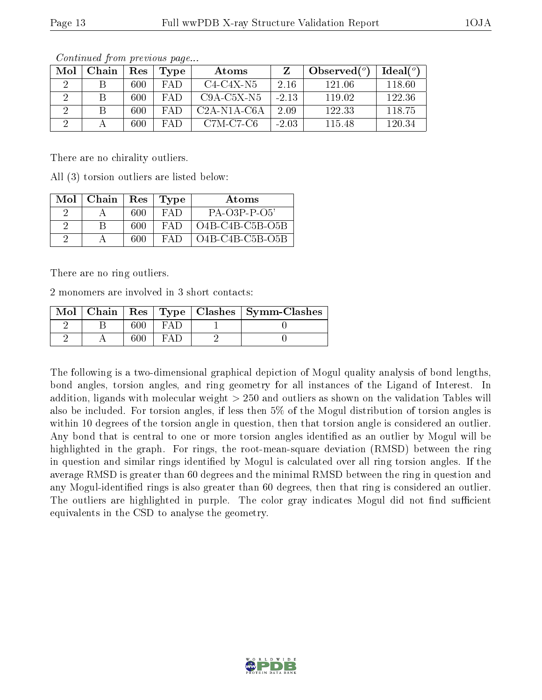| Mol | Chain | Res | Type | Atoms         |         | Observed $(°)$ | Ideal(°) |
|-----|-------|-----|------|---------------|---------|----------------|----------|
|     |       | 600 | FAD. | C4-C4X-N5     | 2.16    | 121.06         | 118.60   |
|     |       | 600 | FAD. | $C9A-C5X-N5$  | $-2.13$ | 119.02         | 122.36   |
|     |       | 600 | FA D | $C2A-N1A-C6A$ | 2.09    | 122.33         | 118.75   |
|     |       | 600 | FAD. | $C7M-C7-C6$   | $-2.03$ | 115.48         | 120.34   |

There are no chirality outliers.

All (3) torsion outliers are listed below:

| $Mol$   Chain |     | Res   Type | Atoms             |
|---------------|-----|------------|-------------------|
|               | 600 | FA D       | $PA-O3P-P-O5'$    |
|               | 600 | FA D       | $O4B-C4B-C5B-O5B$ |
|               | 600 | FA D       | $O4B-C4B-C5B-O5B$ |

There are no ring outliers.

2 monomers are involved in 3 short contacts:

|  |  | $\text{Mol}$   Chain   Res   Type   Clashes   Symm-Clashes |
|--|--|------------------------------------------------------------|
|  |  |                                                            |
|  |  |                                                            |

The following is a two-dimensional graphical depiction of Mogul quality analysis of bond lengths, bond angles, torsion angles, and ring geometry for all instances of the Ligand of Interest. In addition, ligands with molecular weight > 250 and outliers as shown on the validation Tables will also be included. For torsion angles, if less then 5% of the Mogul distribution of torsion angles is within 10 degrees of the torsion angle in question, then that torsion angle is considered an outlier. Any bond that is central to one or more torsion angles identified as an outlier by Mogul will be highlighted in the graph. For rings, the root-mean-square deviation (RMSD) between the ring in question and similar rings identified by Mogul is calculated over all ring torsion angles. If the average RMSD is greater than 60 degrees and the minimal RMSD between the ring in question and any Mogul-identified rings is also greater than 60 degrees, then that ring is considered an outlier. The outliers are highlighted in purple. The color gray indicates Mogul did not find sufficient equivalents in the CSD to analyse the geometry.

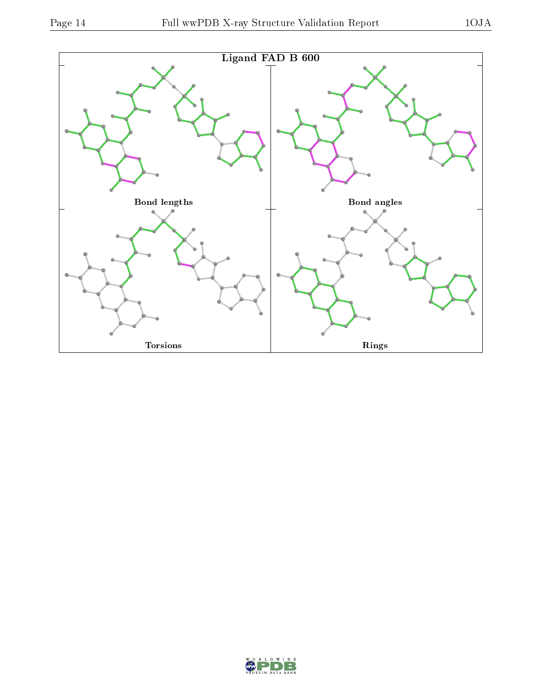

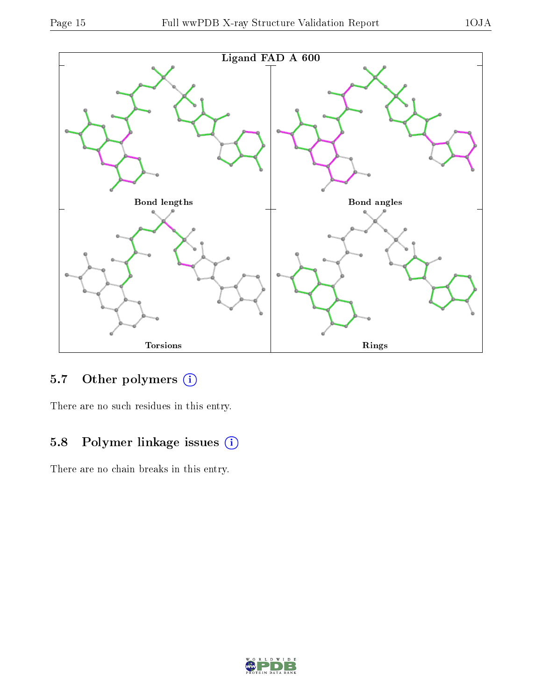



## 5.7 [O](https://www.wwpdb.org/validation/2017/XrayValidationReportHelp#nonstandard_residues_and_ligands)ther polymers (i)

There are no such residues in this entry.

## 5.8 Polymer linkage issues (i)

There are no chain breaks in this entry.

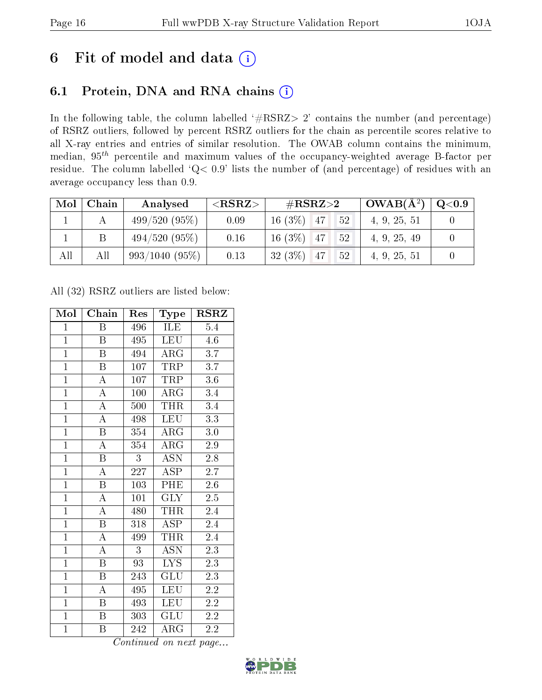## 6 Fit of model and data  $(i)$

## 6.1 Protein, DNA and RNA chains  $(i)$

In the following table, the column labelled  $#RSRZ> 2'$  contains the number (and percentage) of RSRZ outliers, followed by percent RSRZ outliers for the chain as percentile scores relative to all X-ray entries and entries of similar resolution. The OWAB column contains the minimum, median,  $95<sup>th</sup>$  percentile and maximum values of the occupancy-weighted average B-factor per residue. The column labelled ' $Q< 0.9$ ' lists the number of (and percentage) of residues with an average occupancy less than 0.9.

| Mol | Chain | Analysed         | ${ <\hspace{-1.5pt}{\mathrm{RSRZ}} \hspace{-1.5pt}>}$ | $\#\text{RSRZ}{>}2$ |    | $OWAB(A^2)$  | $\rm Q\textcolor{black}{<}0.9$ |
|-----|-------|------------------|-------------------------------------------------------|---------------------|----|--------------|--------------------------------|
|     |       | 499/520(95%)     | 0.09                                                  | $16(3\%)$ 47        | 52 | 4, 9, 25, 51 |                                |
|     |       | $494/520(95\%)$  | 0.16                                                  | $16(3\%)$ 47        | 52 | 4, 9, 25, 49 |                                |
| All | All   | $993/1040(95\%)$ | 0.13                                                  | $32(3\%)$<br>-47    | 52 | 4, 9, 25, 51 |                                |

All (32) RSRZ outliers are listed below:

| Mol            | Chain                   | Res | Type                      | <b>RSRZ</b>      |
|----------------|-------------------------|-----|---------------------------|------------------|
| $\mathbf{1}$   | Β                       | 496 | ILE                       | $5.4\,$          |
| $\mathbf{1}$   | B                       | 495 | <b>LEU</b>                | 4.6              |
| $\overline{1}$ | B                       | 494 | $\rm{AR}\bar{\rm{G}}$     | $\overline{3.7}$ |
| $\mathbf{1}$   | $\boldsymbol{B}$        | 107 | TRP                       | 3.7              |
| $\overline{1}$ | $\overline{\rm A}$      | 107 | TRP                       | $\overline{3.6}$ |
| $\overline{1}$ | $\overline{\rm A}$      | 100 | $\rm{ARG}$                | 3.4              |
| $\overline{1}$ | $\overline{\rm A}$      | 500 | <b>THR</b>                | $\overline{3}.4$ |
| $\overline{1}$ | $\overline{\rm A}$      | 498 | <b>LEU</b>                | $\overline{3.3}$ |
| $\overline{1}$ | $\overline{\mathrm{B}}$ | 354 | $\rm{ARG}$                | 3.0              |
| $\overline{1}$ | $\overline{\rm A}$      | 354 | $\overline{\rm{ARG}}$     | $\overline{2.9}$ |
| $\overline{1}$ | $\overline{\mathrm{B}}$ | 3   | $\overline{\mathrm{ASN}}$ | 2.8              |
| $\overline{1}$ | $\overline{\rm A}$      | 227 | $\overline{\text{ASP}}$   | $\overline{2.7}$ |
| $\overline{1}$ | $\overline{\mathrm{B}}$ | 103 | PHE                       | 2.6              |
| $\overline{1}$ | $\overline{\rm A}$      | 101 | <b>GLY</b>                | 2.5              |
| $\overline{1}$ | $\overline{\rm A}$      | 480 | <b>THR</b>                | 2.4              |
| $\mathbf{1}$   | $\boldsymbol{B}$        | 318 | ASP                       | $2.\overline{4}$ |
| $\overline{1}$ | $\overline{\rm A}$      | 499 | <b>THR</b>                | 2.4              |
| $\mathbf{1}$   | A                       | 3   | <b>ASN</b>                | $2.\overline{3}$ |
| $\overline{1}$ | $\, {\bf B}$            | 93  | <b>LYS</b>                | 2.3              |
| $\overline{1}$ | $\overline{\mathbf{B}}$ | 243 | GLU                       | 2.3              |
| $\mathbf{1}$   | $\boldsymbol{A}$        | 495 | <b>LEU</b>                | 2.2              |
| $\overline{1}$ | B                       | 493 | LEU                       | $2.\overline{2}$ |
| $\overline{1}$ | $\boldsymbol{B}$        | 303 | GLU                       | 2.2              |
| $\overline{1}$ | B                       | 242 | $\rm{\overline{A}RG}$     | 2.2              |

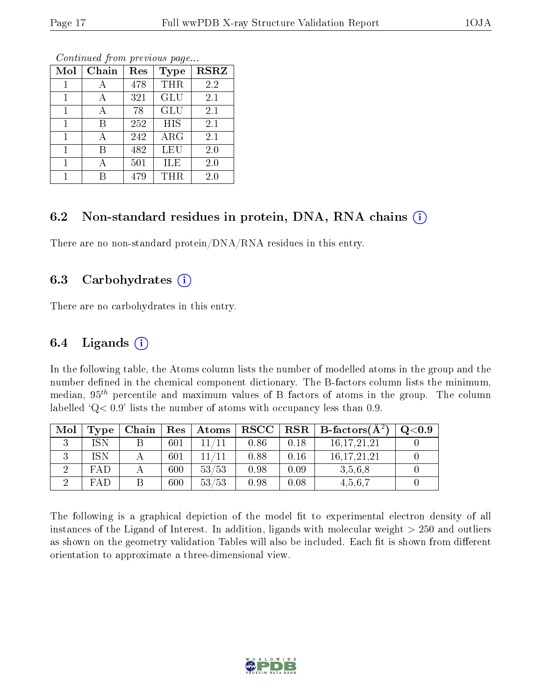| Mol | Chain | Res | <b>Type</b> | <b>RSRZ</b> |
|-----|-------|-----|-------------|-------------|
| 1   | А     | 478 | <b>THR</b>  | 2.2         |
| 1   | А     | 321 | GLU         | 2.1         |
| 1   | А     | 78  | <b>GLU</b>  | 2.1         |
| 1   | В     | 252 | <b>HIS</b>  | 2.1         |
| 1   | А     | 242 | ARG         | 2.1         |
| 1   | В     | 482 | <b>LEU</b>  | 2.0         |
| 1   |       | 501 | ILE         | 2.0         |
|     |       | 479 | THR         | 2.0         |

### 6.2 Non-standard residues in protein, DNA, RNA chains (i)

There are no non-standard protein/DNA/RNA residues in this entry.

#### 6.3 Carbohydrates (i)

There are no carbohydrates in this entry.

### 6.4 Ligands  $(i)$

In the following table, the Atoms column lists the number of modelled atoms in the group and the number defined in the chemical component dictionary. The B-factors column lists the minimum, median,  $95<sup>th</sup>$  percentile and maximum values of B factors of atoms in the group. The column labelled  $Q< 0.9$ ' lists the number of atoms with occupancy less than 0.9.

| Mol | Type <sub>1</sub> | Chain | Res | Atoms |      |      | $RSCC   RSR   B-factors(A2)$ | Q <sub>0.9</sub> |
|-----|-------------------|-------|-----|-------|------|------|------------------------------|------------------|
|     | ISN               |       | 601 |       | 0.86 | 0.18 | 16, 17, 21, 21               |                  |
|     | ISN               |       | 601 | 11/11 | 0.88 | 0.16 | 16, 17, 21, 21               |                  |
|     | FAD               |       | 600 | 53/53 | 0.98 | 0.09 | 3.5.6.8                      |                  |
|     | FAP               |       | 600 | 53/53 | 0.98 | 0.08 | 4.5.6.7                      |                  |

The following is a graphical depiction of the model fit to experimental electron density of all instances of the Ligand of Interest. In addition, ligands with molecular weight  $> 250$  and outliers as shown on the geometry validation Tables will also be included. Each fit is shown from different orientation to approximate a three-dimensional view.

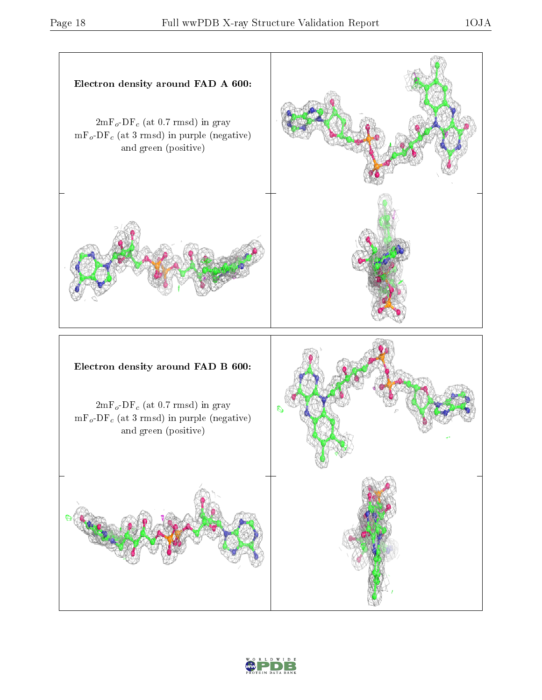